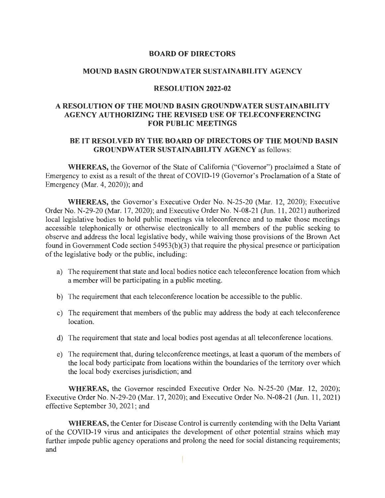### **BOARD OF DIRECTORS**

### **MOUND BASIN GROUNDWATER SUSTAINABILITY AGENCY**

### **RESOLUTION 2022-02**

# **A RESOLUTION OF THE MOUND BASIN GROUNDWATER SUSTAINABILITY AGENCY AUTHORIZING THE REVISED USE OF TELECONFERENCING FOR PUBLIC MEETINGS**

# **BE IT RESOLVED BY THE BOARD OF DIRECTORS OF THE MOUND BASIN GROUNDWATER SUSTAINABILITY AGENCY** as follows:

**WHEREAS,** the Governor of the State of California ("Governor") proclaimed a State of Emergency to exist as a result of the threat of COVID-19 (Governor's Proclamation of a State of Emergency (Mar. 4, 2020)); and

**WHEREAS,** the Governor's Executive Order No. N-25-20 (Mar. 12, 2020); Executive Order No. N-29-20 (Mar. 17, 2020); and Executive Order No. N-08-21 (Jun. 11 , 2021) authorized local legislative bodies to hold public meetings via teleconference and to make those meetings accessible telephonically or otherwise electronically to all members of the public seeking to observe and address the local legislative body, while waiving those provisions of the Brown Act found in Government Code section 54953(b)(3) that require the physical presence or participation of the legislative body or the public, including:

- a) The requirement that state and local bodies notice each teleconference location from which a member will be participating in a public meeting.
- b) The requirement that each teleconference location be accessible to the public.
- c) The requirement that members of the public may address the body at each teleconference location.
- d) The requirement that state and local bodies post agendas at all teleconference locations.
- e) The requirement that, during teleconference meetings, at least a quorum of the members of the local body participate from locations within the boundaries of the territory over which the local body exercises jurisdiction; and

**WHEREAS,** the Governor rescinded Executive Order No. N-25-20 (Mar. 12, 2020); Executive Order No. N-29-20 (Mar. 17, 2020); and Executive Order No. N-08-21 (Jun. 11 , 2021) effective September 30, 2021 ; and

**WHEREAS,** the Center for Disease Control is currently contending with the Delta Variant of the COVID-19 virus and anticipates the development of other potential strains which may further impede public agency operations and prolong the need for social distancing requirements; and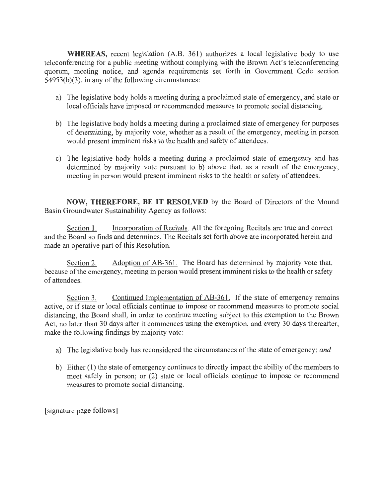**WHEREAS,** recent legislation (A.B. 361) authorizes a local legislative body to use teleconferencing for a public meeting without complying with the Brown Act's teleconferencing quorum, meeting notice, and agenda requirements set forth in Government Code section 54953(b)(3), in any of the following circumstances:

- a) The legislative body holds a meeting during a proclaimed state of emergency, and state or local officials have imposed or recommended measures to promote social distancing.
- b) The legislative body holds a meeting during a proclaimed state of emergency for purposes of determining, by majority vote, whether as a result of the emergency, meeting in person would present imminent risks to the health and safety of attendees.
- c) The legislative body holds a meeting during a proclaimed state of emergency and has determined by majority vote pursuant to b) above that, as a result of the emergency, meeting in person would present imminent risks to the health or safety of attendees.

**NOW, THEREFORE, BE IT RESOLVED** by the Board of Directors of the Mound Basin Groundwater Sustainability Agency as follows:

Section 1. Incorporation of Recitals. All the foregoing Recitals are true and correct and the Board so finds and determines. The Recitals set forth above are incorporated herein and made an operative part of this Resolution.

Section 2. Adoption of AB-361. The Board has determined by majority vote that, because of the emergency, meeting in person would present imminent risks to the health or safety of attendees.

Section 3. Continued Implementation of AB-361. If the state of emergency remains active, or if state or local officials continue to impose or recommend measures to promote social distancing, the Board shall, in order to continue meeting subject to this exemption to the Brown Act, no later than 30 days after it commences using the exemption, and every 30 days thereafter, make the following findings by majority vote:

- a) The legislative body has reconsidered the circumstances of the state of emergency; *and*
- b) Either (1) the state of emergency continues to directly impact the ability of the members to meet safely in person; or (2) state or local officials continue to impose or recommend measures to promote social distancing.

[ signature page follows]